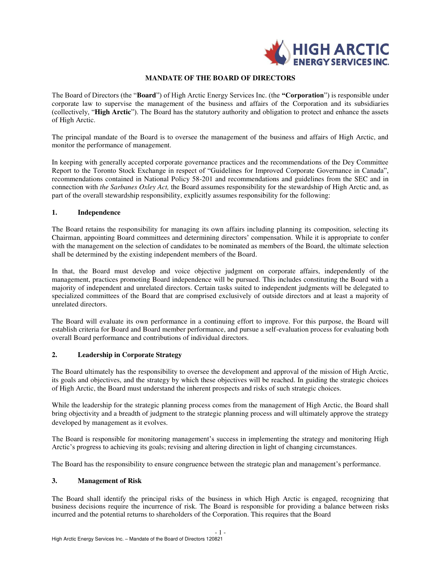

#### **MANDATE OF THE BOARD OF DIRECTORS**

The Board of Directors (the "**Board**") of High Arctic Energy Services Inc. (the **"Corporation**") is responsible under corporate law to supervise the management of the business and affairs of the Corporation and its subsidiaries (collectively, "**High Arctic**"). The Board has the statutory authority and obligation to protect and enhance the assets of High Arctic.

The principal mandate of the Board is to oversee the management of the business and affairs of High Arctic, and monitor the performance of management.

In keeping with generally accepted corporate governance practices and the recommendations of the Dey Committee Report to the Toronto Stock Exchange in respect of "Guidelines for Improved Corporate Governance in Canada", recommendations contained in National Policy 58-201 and recommendations and guidelines from the SEC and in connection with *the Sarbanes Oxley Act,* the Board assumes responsibility for the stewardship of High Arctic and, as part of the overall stewardship responsibility, explicitly assumes responsibility for the following:

#### **1. Independence**

The Board retains the responsibility for managing its own affairs including planning its composition, selecting its Chairman, appointing Board committees and determining directors' compensation. While it is appropriate to confer with the management on the selection of candidates to be nominated as members of the Board, the ultimate selection shall be determined by the existing independent members of the Board.

In that, the Board must develop and voice objective judgment on corporate affairs, independently of the management, practices promoting Board independence will be pursued. This includes constituting the Board with a majority of independent and unrelated directors. Certain tasks suited to independent judgments will be delegated to specialized committees of the Board that are comprised exclusively of outside directors and at least a majority of unrelated directors.

The Board will evaluate its own performance in a continuing effort to improve. For this purpose, the Board will establish criteria for Board and Board member performance, and pursue a self-evaluation process for evaluating both overall Board performance and contributions of individual directors.

# **2. Leadership in Corporate Strategy**

The Board ultimately has the responsibility to oversee the development and approval of the mission of High Arctic, its goals and objectives, and the strategy by which these objectives will be reached. In guiding the strategic choices of High Arctic, the Board must understand the inherent prospects and risks of such strategic choices.

While the leadership for the strategic planning process comes from the management of High Arctic, the Board shall bring objectivity and a breadth of judgment to the strategic planning process and will ultimately approve the strategy developed by management as it evolves.

The Board is responsible for monitoring management's success in implementing the strategy and monitoring High Arctic's progress to achieving its goals; revising and altering direction in light of changing circumstances.

The Board has the responsibility to ensure congruence between the strategic plan and management's performance.

#### **3. Management of Risk**

The Board shall identify the principal risks of the business in which High Arctic is engaged, recognizing that business decisions require the incurrence of risk. The Board is responsible for providing a balance between risks incurred and the potential returns to shareholders of the Corporation. This requires that the Board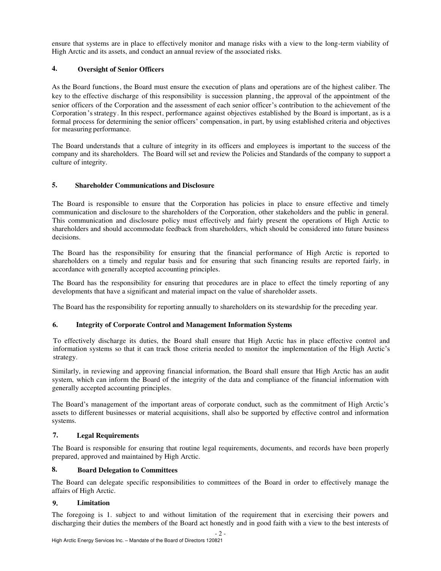ensure that systems are in place to effectively monitor and manage risks with a view to the long-term viability of High Arctic and its assets, and conduct an annual review of the associated risks.

# **4. Oversight of Senior Officers**

As the Board functions, the Board must ensure the execution of plans and operations are of the highest caliber. The key to the effective discharge of this responsibility is succession planning , the approval of the appointment of the senior officers of the Corporation and the assessment of each senior officer's contribution to the achievement of the Corporation'sstrategy. In this respect, performance against objectives established by the Board is important, as is a formal process for determining the senior officers' compensation, in part, by using established criteria and objectives for measuring performance.

The Board understands that a culture of integrity in its officers and employees is important to the success of the company and its shareholders. The Board will set and review the Policies and Standards of the company to support a culture of integrity.

# **5. Shareholder Communications and Disclosure**

The Board is responsible to ensure that the Corporation has policies in place to ensure effective and timely communication and disclosure to the shareholders of the Corporation, other stakeholders and the public in general. This communication and disclosure policy must effectively and fairly present the operations of High Arctic to shareholders and should accommodate feedback from shareholders, which should be considered into future business decisions.

The Board has the responsibility for ensuring that the financial performance of High Arctic is reported to shareholders on a timely and regular basis and for ensuring that such financing results are reported fairly, in accordance with generally accepted accounting principles.

The Board has the responsibility for ensuring that procedures are in place to effect the timely reporting of any developments that have a significant and material impact on the value of shareholder assets.

The Board has the responsibility for reporting annually to shareholders on its stewardship for the preceding year.

# **6. Integrity of Corporate Control and Management Information Systems**

To effectively discharge its duties, the Board shall ensure that High Arctic has in place effective control and information systems so that it can track those criteria needed to monitor the implementation of the High Arctic's strategy.

Similarly, in reviewing and approving financial information, the Board shall ensure that High Arctic has an audit system, which can inform the Board of the integrity of the data and compliance of the financial information with generally accepted accounting principles.

The Board's management of the important areas of corporate conduct, such as the commitment of High Arctic's assets to different businesses or material acquisitions, shall also be supported by effective control and information systems.

# **7. Legal Requirements**

The Board is responsible for ensuring that routine legal requirements, documents, and records have been properly prepared, approved and maintained by High Arctic.

# **8. Board Delegation to Committees**

The Board can delegate specific responsibilities to committees of the Board in order to effectively manage the affairs of High Arctic.

# **9. Limitation**

The foregoing is 1. subject to and without limitation of the requirement that in exercising their powers and discharging their duties the members of the Board act honestly and in good faith with a view to the best interests of